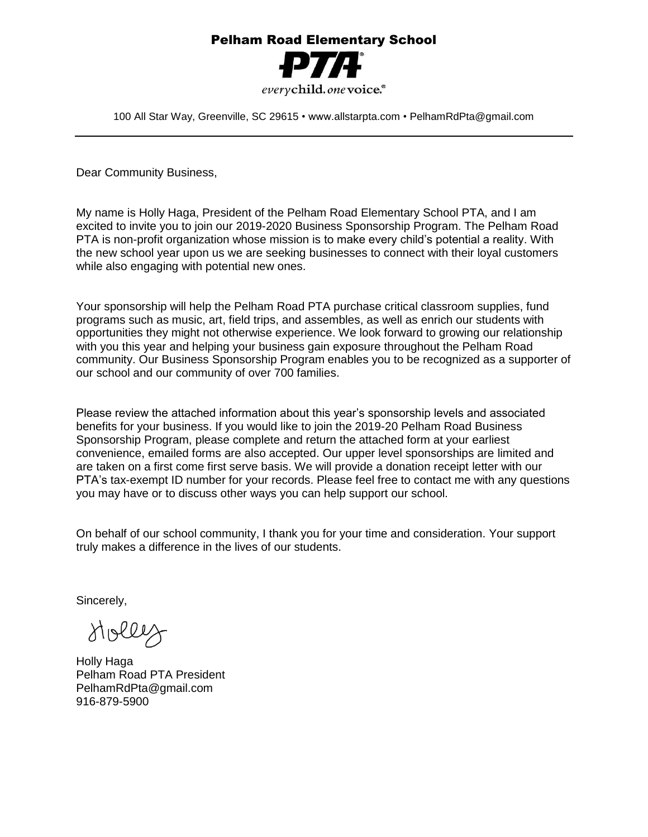## Pelham Road Elementary School



100 All Star Way, Greenville, SC 29615 • www.allstarpta.com • PelhamRdPta@gmail.com

Dear Community Business,

My name is Holly Haga, President of the Pelham Road Elementary School PTA, and I am excited to invite you to join our 2019-2020 Business Sponsorship Program. The Pelham Road PTA is non-profit organization whose mission is to make every child's potential a reality. With the new school year upon us we are seeking businesses to connect with their loyal customers while also engaging with potential new ones.

Your sponsorship will help the Pelham Road PTA purchase critical classroom supplies, fund programs such as music, art, field trips, and assembles, as well as enrich our students with opportunities they might not otherwise experience. We look forward to growing our relationship with you this year and helping your business gain exposure throughout the Pelham Road community. Our Business Sponsorship Program enables you to be recognized as a supporter of our school and our community of over 700 families.

Please review the attached information about this year's sponsorship levels and associated benefits for your business. If you would like to join the 2019-20 Pelham Road Business Sponsorship Program, please complete and return the attached form at your earliest convenience, emailed forms are also accepted. Our upper level sponsorships are limited and are taken on a first come first serve basis. We will provide a donation receipt letter with our PTA's tax-exempt ID number for your records. Please feel free to contact me with any questions you may have or to discuss other ways you can help support our school.

On behalf of our school community, I thank you for your time and consideration. Your support truly makes a difference in the lives of our students.

Sincerely,

Holley

Holly Haga Pelham Road PTA President PelhamRdPta@gmail.com 916-879-5900